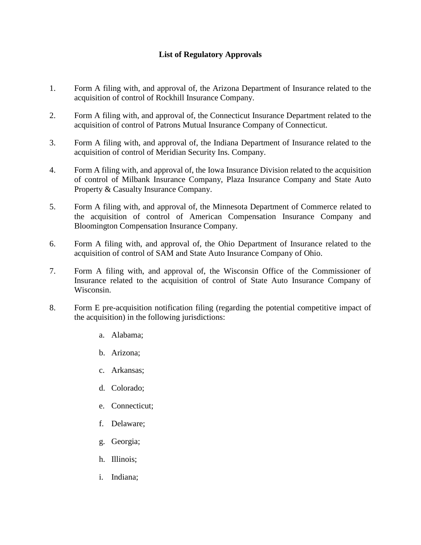## **List of Regulatory Approvals**

- 1. Form A filing with, and approval of, the Arizona Department of Insurance related to the acquisition of control of Rockhill Insurance Company.
- 2. Form A filing with, and approval of, the Connecticut Insurance Department related to the acquisition of control of Patrons Mutual Insurance Company of Connecticut.
- 3. Form A filing with, and approval of, the Indiana Department of Insurance related to the acquisition of control of Meridian Security Ins. Company.
- 4. Form A filing with, and approval of, the Iowa Insurance Division related to the acquisition of control of Milbank Insurance Company, Plaza Insurance Company and State Auto Property & Casualty Insurance Company.
- 5. Form A filing with, and approval of, the Minnesota Department of Commerce related to the acquisition of control of American Compensation Insurance Company and Bloomington Compensation Insurance Company.
- 6. Form A filing with, and approval of, the Ohio Department of Insurance related to the acquisition of control of SAM and State Auto Insurance Company of Ohio.
- 7. Form A filing with, and approval of, the Wisconsin Office of the Commissioner of Insurance related to the acquisition of control of State Auto Insurance Company of Wisconsin.
- 8. Form E pre-acquisition notification filing (regarding the potential competitive impact of the acquisition) in the following jurisdictions:
	- a. Alabama;
	- b. Arizona;
	- c. Arkansas;
	- d. Colorado;
	- e. Connecticut;
	- f. Delaware;
	- g. Georgia;
	- h. Illinois;
	- i. Indiana;